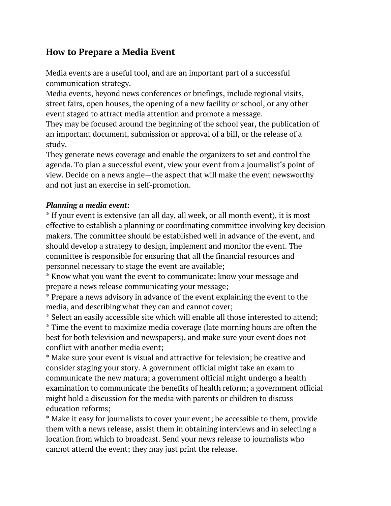## **How to Prepare a Media Event**

Media events are a useful tool, and are an important part of a successful communication strategy.

Media events, beyond news conferences or briefings, include regional visits, street fairs, open houses, the opening of a new facility or school, or any other event staged to attract media attention and promote a message.

They may be focused around the beginning of the school year, the publication of an important document, submission or approval of a bill, or the release of a study.

They generate news coverage and enable the organizers to set and control the agenda. To plan a successful event, view your event from a journalist's point of view. Decide on a news angle—the aspect that will make the event newsworthy and not just an exercise in self-promotion.

## *Planning a media event:*

\* If your event is extensive (an all day, all week, or all month event), it is most effective to establish a planning or coordinating committee involving key decision makers. The committee should be established well in advance of the event, and should develop a strategy to design, implement and monitor the event. The committee is responsible for ensuring that all the financial resources and personnel necessary to stage the event are available;

\* Know what you want the event to communicate; know your message and prepare a news release communicating your message;

\* Prepare a news advisory in advance of the event explaining the event to the media, and describing what they can and cannot cover;

\* Select an easily accessible site which will enable all those interested to attend; \* Time the event to maximize media coverage (late morning hours are often the best for both television and newspapers), and make sure your event does not conflict with another media event;

\* Make sure your event is visual and attractive for television; be creative and consider staging your story. A government official might take an exam to communicate the new matura; a government official might undergo a health examination to communicate the benefits of health reform; a government official might hold a discussion for the media with parents or children to discuss education reforms;

\* Make it easy for journalists to cover your event; be accessible to them, provide them with a news release, assist them in obtaining interviews and in selecting a location from which to broadcast. Send your news release to journalists who cannot attend the event; they may just print the release.